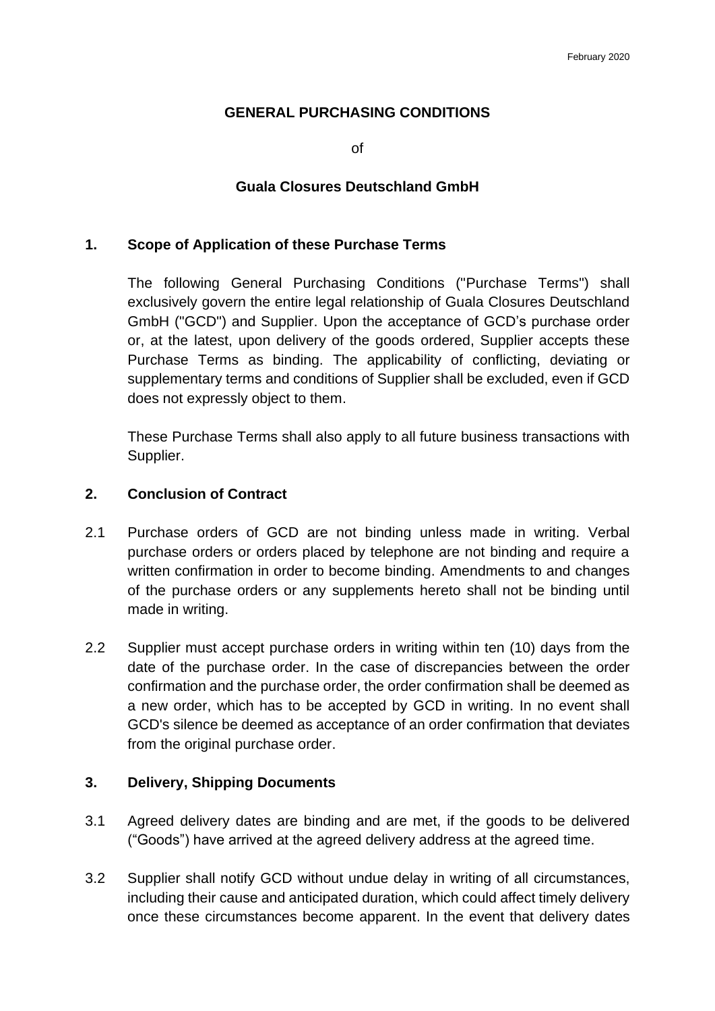### **GENERAL PURCHASING CONDITIONS**

of

### **Guala Closures Deutschland GmbH**

### **1. Scope of Application of these Purchase Terms**

The following General Purchasing Conditions ("Purchase Terms") shall exclusively govern the entire legal relationship of Guala Closures Deutschland GmbH ("GCD") and Supplier. Upon the acceptance of GCD's purchase order or, at the latest, upon delivery of the goods ordered, Supplier accepts these Purchase Terms as binding. The applicability of conflicting, deviating or supplementary terms and conditions of Supplier shall be excluded, even if GCD does not expressly object to them.

These Purchase Terms shall also apply to all future business transactions with Supplier.

### **2. Conclusion of Contract**

- 2.1 Purchase orders of GCD are not binding unless made in writing. Verbal purchase orders or orders placed by telephone are not binding and require a written confirmation in order to become binding. Amendments to and changes of the purchase orders or any supplements hereto shall not be binding until made in writing.
- 2.2 Supplier must accept purchase orders in writing within ten (10) days from the date of the purchase order. In the case of discrepancies between the order confirmation and the purchase order, the order confirmation shall be deemed as a new order, which has to be accepted by GCD in writing. In no event shall GCD's silence be deemed as acceptance of an order confirmation that deviates from the original purchase order.

### **3. Delivery, Shipping Documents**

- 3.1 Agreed delivery dates are binding and are met, if the goods to be delivered ("Goods") have arrived at the agreed delivery address at the agreed time.
- 3.2 Supplier shall notify GCD without undue delay in writing of all circumstances, including their cause and anticipated duration, which could affect timely delivery once these circumstances become apparent. In the event that delivery dates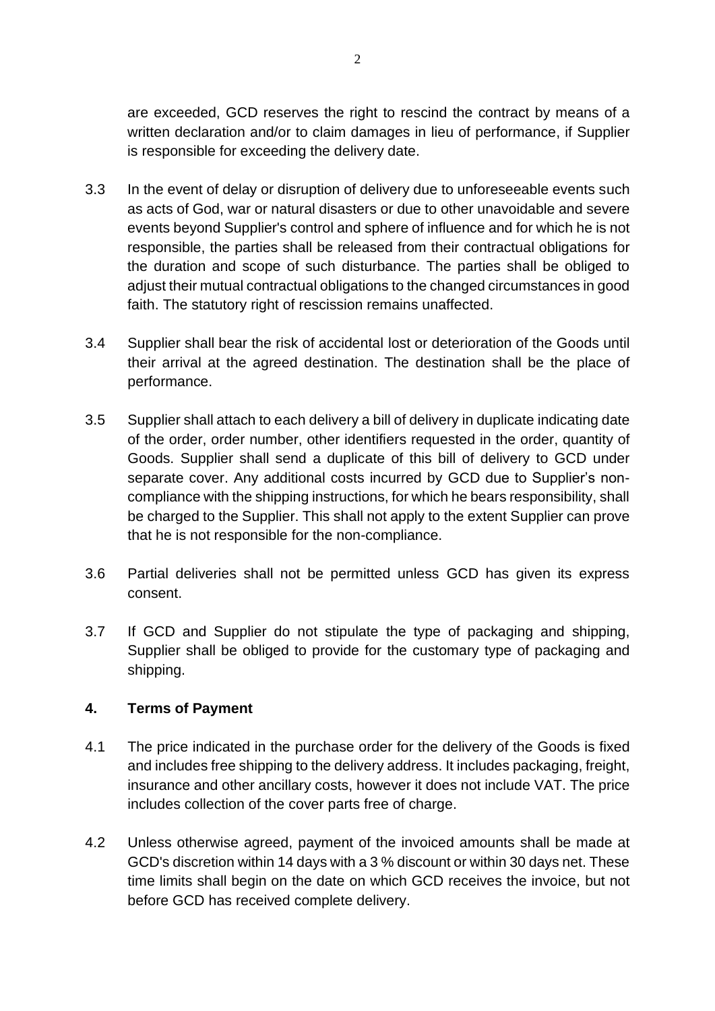are exceeded, GCD reserves the right to rescind the contract by means of a written declaration and/or to claim damages in lieu of performance, if Supplier is responsible for exceeding the delivery date.

- 3.3 In the event of delay or disruption of delivery due to unforeseeable events such as acts of God, war or natural disasters or due to other unavoidable and severe events beyond Supplier's control and sphere of influence and for which he is not responsible, the parties shall be released from their contractual obligations for the duration and scope of such disturbance. The parties shall be obliged to adjust their mutual contractual obligations to the changed circumstances in good faith. The statutory right of rescission remains unaffected.
- 3.4 Supplier shall bear the risk of accidental lost or deterioration of the Goods until their arrival at the agreed destination. The destination shall be the place of performance.
- 3.5 Supplier shall attach to each delivery a bill of delivery in duplicate indicating date of the order, order number, other identifiers requested in the order, quantity of Goods. Supplier shall send a duplicate of this bill of delivery to GCD under separate cover. Any additional costs incurred by GCD due to Supplier's noncompliance with the shipping instructions, for which he bears responsibility, shall be charged to the Supplier. This shall not apply to the extent Supplier can prove that he is not responsible for the non-compliance.
- 3.6 Partial deliveries shall not be permitted unless GCD has given its express consent.
- 3.7 If GCD and Supplier do not stipulate the type of packaging and shipping, Supplier shall be obliged to provide for the customary type of packaging and shipping.

### **4. Terms of Payment**

- 4.1 The price indicated in the purchase order for the delivery of the Goods is fixed and includes free shipping to the delivery address. It includes packaging, freight, insurance and other ancillary costs, however it does not include VAT. The price includes collection of the cover parts free of charge.
- 4.2 Unless otherwise agreed, payment of the invoiced amounts shall be made at GCD's discretion within 14 days with a 3 % discount or within 30 days net. These time limits shall begin on the date on which GCD receives the invoice, but not before GCD has received complete delivery.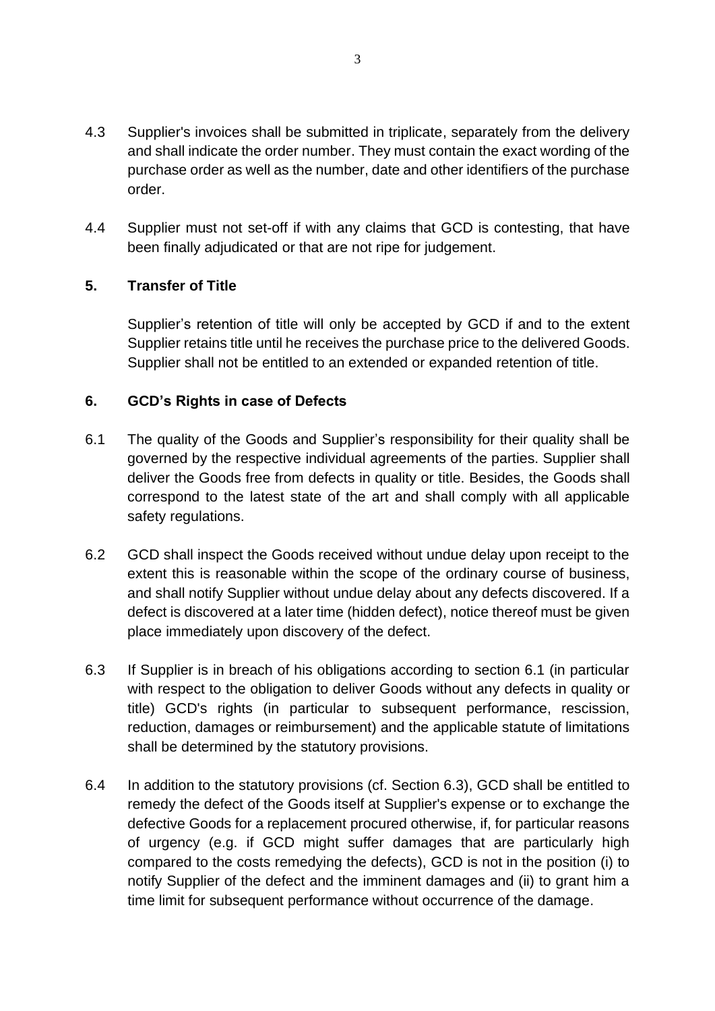- 4.3 Supplier's invoices shall be submitted in triplicate, separately from the delivery and shall indicate the order number. They must contain the exact wording of the purchase order as well as the number, date and other identifiers of the purchase order.
- 4.4 Supplier must not set-off if with any claims that GCD is contesting, that have been finally adjudicated or that are not ripe for judgement.

# **5. Transfer of Title**

Supplier's retention of title will only be accepted by GCD if and to the extent Supplier retains title until he receives the purchase price to the delivered Goods. Supplier shall not be entitled to an extended or expanded retention of title.

# **6. GCD's Rights in case of Defects**

- 6.1 The quality of the Goods and Supplier's responsibility for their quality shall be governed by the respective individual agreements of the parties. Supplier shall deliver the Goods free from defects in quality or title. Besides, the Goods shall correspond to the latest state of the art and shall comply with all applicable safety regulations.
- 6.2 GCD shall inspect the Goods received without undue delay upon receipt to the extent this is reasonable within the scope of the ordinary course of business, and shall notify Supplier without undue delay about any defects discovered. If a defect is discovered at a later time (hidden defect), notice thereof must be given place immediately upon discovery of the defect.
- 6.3 If Supplier is in breach of his obligations according to section 6.1 (in particular with respect to the obligation to deliver Goods without any defects in quality or title) GCD's rights (in particular to subsequent performance, rescission, reduction, damages or reimbursement) and the applicable statute of limitations shall be determined by the statutory provisions.
- 6.4 In addition to the statutory provisions (cf. Section 6.3), GCD shall be entitled to remedy the defect of the Goods itself at Supplier's expense or to exchange the defective Goods for a replacement procured otherwise, if, for particular reasons of urgency (e.g. if GCD might suffer damages that are particularly high compared to the costs remedying the defects), GCD is not in the position (i) to notify Supplier of the defect and the imminent damages and (ii) to grant him a time limit for subsequent performance without occurrence of the damage.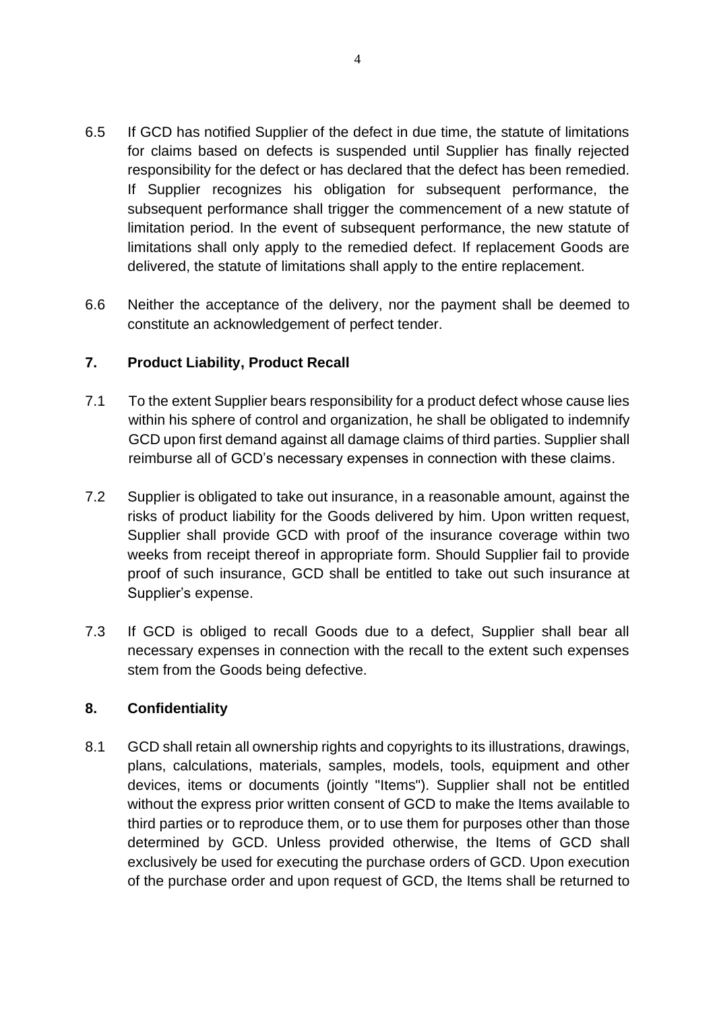- 6.5 If GCD has notified Supplier of the defect in due time, the statute of limitations for claims based on defects is suspended until Supplier has finally rejected responsibility for the defect or has declared that the defect has been remedied. If Supplier recognizes his obligation for subsequent performance, the subsequent performance shall trigger the commencement of a new statute of limitation period. In the event of subsequent performance, the new statute of limitations shall only apply to the remedied defect. If replacement Goods are delivered, the statute of limitations shall apply to the entire replacement.
- 6.6 Neither the acceptance of the delivery, nor the payment shall be deemed to constitute an acknowledgement of perfect tender.

# **7. Product Liability, Product Recall**

- 7.1 To the extent Supplier bears responsibility for a product defect whose cause lies within his sphere of control and organization, he shall be obligated to indemnify GCD upon first demand against all damage claims of third parties. Supplier shall reimburse all of GCD's necessary expenses in connection with these claims.
- 7.2 Supplier is obligated to take out insurance, in a reasonable amount, against the risks of product liability for the Goods delivered by him. Upon written request, Supplier shall provide GCD with proof of the insurance coverage within two weeks from receipt thereof in appropriate form. Should Supplier fail to provide proof of such insurance, GCD shall be entitled to take out such insurance at Supplier's expense.
- 7.3 If GCD is obliged to recall Goods due to a defect, Supplier shall bear all necessary expenses in connection with the recall to the extent such expenses stem from the Goods being defective.

### **8. Confidentiality**

8.1 GCD shall retain all ownership rights and copyrights to its illustrations, drawings, plans, calculations, materials, samples, models, tools, equipment and other devices, items or documents (jointly "Items"). Supplier shall not be entitled without the express prior written consent of GCD to make the Items available to third parties or to reproduce them, or to use them for purposes other than those determined by GCD. Unless provided otherwise, the Items of GCD shall exclusively be used for executing the purchase orders of GCD. Upon execution of the purchase order and upon request of GCD, the Items shall be returned to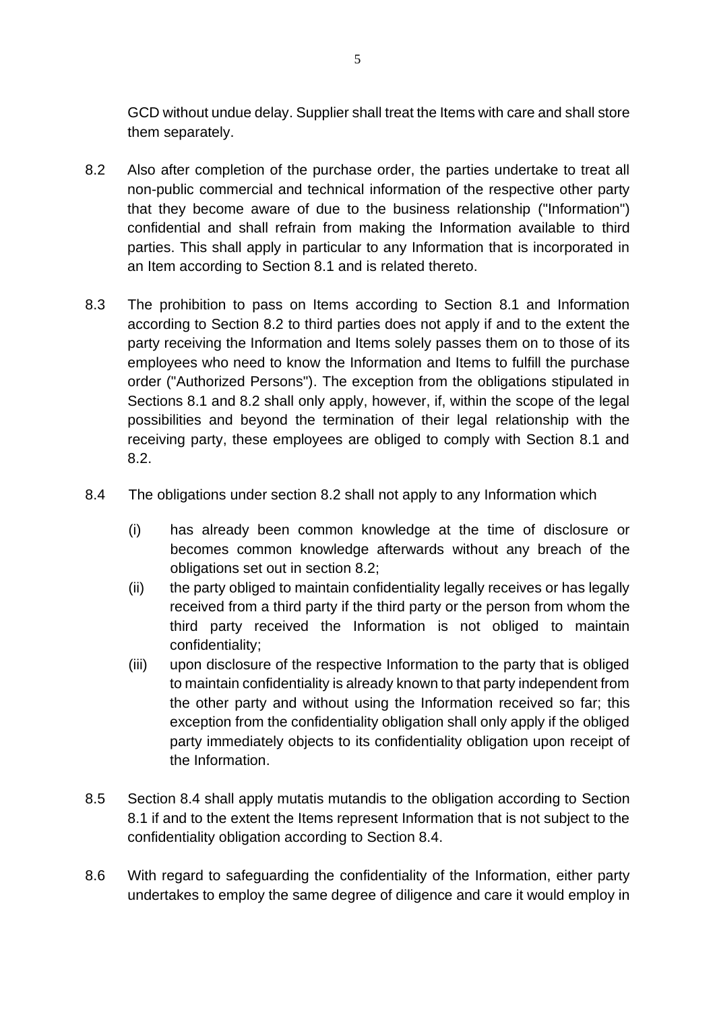GCD without undue delay. Supplier shall treat the Items with care and shall store them separately.

- 8.2 Also after completion of the purchase order, the parties undertake to treat all non-public commercial and technical information of the respective other party that they become aware of due to the business relationship ("Information") confidential and shall refrain from making the Information available to third parties. This shall apply in particular to any Information that is incorporated in an Item according to Section 8.1 and is related thereto.
- 8.3 The prohibition to pass on Items according to Section 8.1 and Information according to Section 8.2 to third parties does not apply if and to the extent the party receiving the Information and Items solely passes them on to those of its employees who need to know the Information and Items to fulfill the purchase order ("Authorized Persons"). The exception from the obligations stipulated in Sections 8.1 and 8.2 shall only apply, however, if, within the scope of the legal possibilities and beyond the termination of their legal relationship with the receiving party, these employees are obliged to comply with Section 8.1 and 8.2.
- 8.4 The obligations under section 8.2 shall not apply to any Information which
	- (i) has already been common knowledge at the time of disclosure or becomes common knowledge afterwards without any breach of the obligations set out in section 8.2;
	- (ii) the party obliged to maintain confidentiality legally receives or has legally received from a third party if the third party or the person from whom the third party received the Information is not obliged to maintain confidentiality;
	- (iii) upon disclosure of the respective Information to the party that is obliged to maintain confidentiality is already known to that party independent from the other party and without using the Information received so far; this exception from the confidentiality obligation shall only apply if the obliged party immediately objects to its confidentiality obligation upon receipt of the Information.
- 8.5 Section 8.4 shall apply mutatis mutandis to the obligation according to Section 8.1 if and to the extent the Items represent Information that is not subject to the confidentiality obligation according to Section 8.4.
- 8.6 With regard to safeguarding the confidentiality of the Information, either party undertakes to employ the same degree of diligence and care it would employ in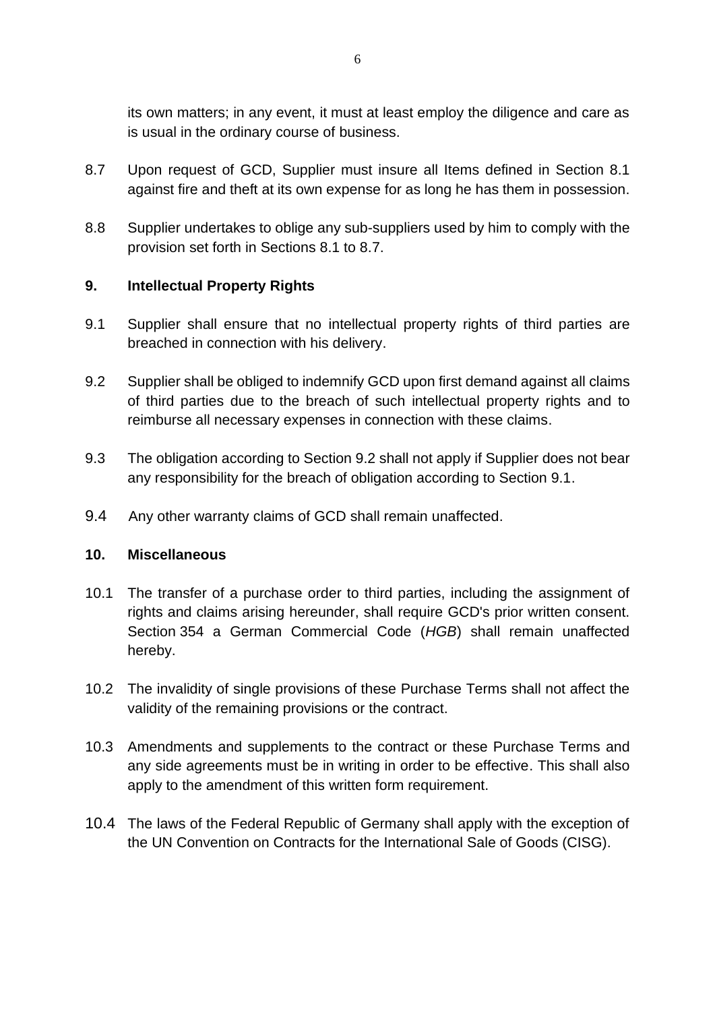its own matters; in any event, it must at least employ the diligence and care as is usual in the ordinary course of business.

- 8.7 Upon request of GCD, Supplier must insure all Items defined in Section 8.1 against fire and theft at its own expense for as long he has them in possession.
- 8.8 Supplier undertakes to oblige any sub-suppliers used by him to comply with the provision set forth in Sections 8.1 to 8.7.

# **9. Intellectual Property Rights**

- 9.1 Supplier shall ensure that no intellectual property rights of third parties are breached in connection with his delivery.
- 9.2 Supplier shall be obliged to indemnify GCD upon first demand against all claims of third parties due to the breach of such intellectual property rights and to reimburse all necessary expenses in connection with these claims.
- 9.3 The obligation according to Section 9.2 shall not apply if Supplier does not bear any responsibility for the breach of obligation according to Section 9.1.
- 9.4 Any other warranty claims of GCD shall remain unaffected.

### **10. Miscellaneous**

- 10.1 The transfer of a purchase order to third parties, including the assignment of rights and claims arising hereunder, shall require GCD's prior written consent. Section 354 a German Commercial Code (*HGB*) shall remain unaffected hereby.
- 10.2 The invalidity of single provisions of these Purchase Terms shall not affect the validity of the remaining provisions or the contract.
- 10.3 Amendments and supplements to the contract or these Purchase Terms and any side agreements must be in writing in order to be effective. This shall also apply to the amendment of this written form requirement.
- 10.4 The laws of the Federal Republic of Germany shall apply with the exception of the UN Convention on Contracts for the International Sale of Goods (CISG).